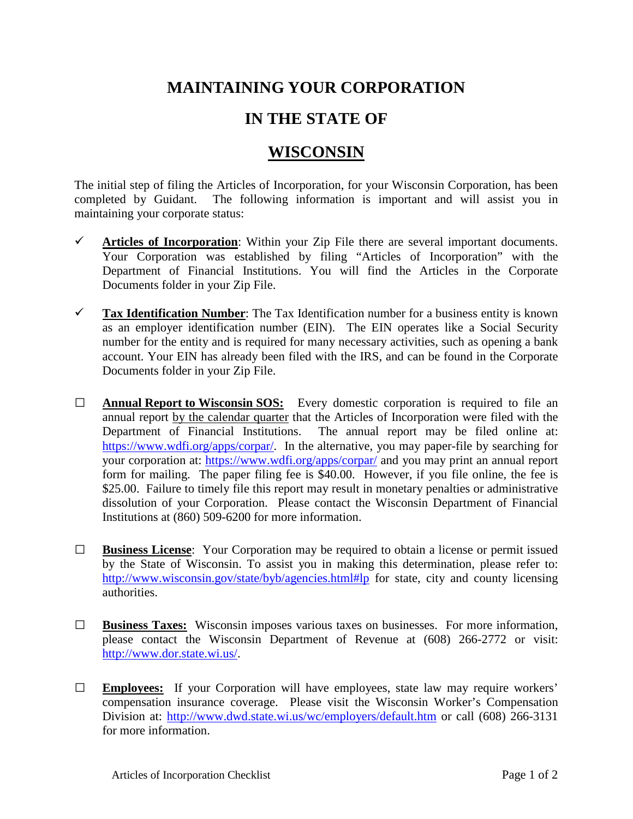## **MAINTAINING YOUR CORPORATION**

## **IN THE STATE OF**

## **WISCONSIN**

The initial step of filing the Articles of Incorporation, for your Wisconsin Corporation, has been completed by Guidant. The following information is important and will assist you in maintaining your corporate status:

- $\checkmark$  Articles of Incorporation: Within your Zip File there are several important documents. Your Corporation was established by filing "Articles of Incorporation" with the Department of Financial Institutions. You will find the Articles in the Corporate Documents folder in your Zip File.
- **Tax Identification Number**: The Tax Identification number for a business entity is known as an employer identification number (EIN). The EIN operates like a Social Security number for the entity and is required for many necessary activities, such as opening a bank account. Your EIN has already been filed with the IRS, and can be found in the Corporate Documents folder in your Zip File.
- **□ Annual Report to Wisconsin SOS:** Every domestic corporation is required to file an annual report by the calendar quarter that the Articles of Incorporation were filed with the Department of Financial Institutions. The annual report may be filed online at: [https://www.wdfi.org/apps/corpar/.](https://www.wdfi.org/apps/corpar/) In the alternative, you may paper-file by searching for your corporation at:<https://www.wdfi.org/apps/corpar/> and you may print an annual report form for mailing. The paper filing fee is \$40.00. However, if you file online, the fee is \$25.00. Failure to timely file this report may result in monetary penalties or administrative dissolution of your Corporation. Please contact the Wisconsin Department of Financial Institutions at (860) 509-6200 for more information.
- **□ Business License**: Your Corporation may be required to obtain a license or permit issued by the State of Wisconsin. To assist you in making this determination, please refer to: [http://www.wisconsin.gov/state/byb/agencies.html#lp](http://www.wisconsin.gov/state/byb/agencies.html%23lp) for state, city and county licensing authorities.
- **□ Business Taxes:** Wisconsin imposes various taxes on businesses. For more information, please contact the Wisconsin Department of Revenue at (608) 266-2772 or visit: [http://www.dor.state.wi.us/.](http://www.dor.state.wi.us/)
- **□ Employees:** If your Corporation will have employees, state law may require workers' compensation insurance coverage. Please visit the Wisconsin Worker's Compensation Division at:<http://www.dwd.state.wi.us/wc/employers/default.htm> or call (608) 266-3131 for more information.